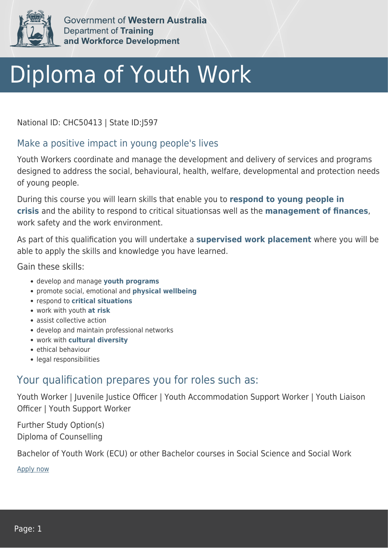

Government of Western Australia **Department of Training** and Workforce Development

## Diploma of Youth Work

National ID: CHC50413 | State ID:J597

## Make a positive impact in young people's lives

Youth Workers coordinate and manage the development and delivery of services and programs designed to address the social, behavioural, health, welfare, developmental and protection needs of young people.

During this course you will learn skills that enable you to **respond to young people in crisis** and the ability to respond to critical situationsas well as the **management of finances**, work safety and the work environment.

As part of this qualification you will undertake a **supervised work placement** where you will be able to apply the skills and knowledge you have learned.

Gain these skills:

- develop and manage **youth programs**
- promote social, emotional and **physical wellbeing**
- respond to **critical situations**
- work with youth **at risk**
- assist collective action
- develop and maintain professional networks
- work with **cultural diversity**
- ethical behaviour
- legal responsibilities

## Your qualification prepares you for roles such as:

Youth Worker | Juvenile Justice Officer | Youth Accommodation Support Worker | Youth Liaison Officer | Youth Support Worker

Further Study Option(s) Diploma of Counselling

Bachelor of Youth Work (ECU) or other Bachelor courses in Social Science and Social Work

[Apply now](https://tasonline.tafe.wa.edu.au/Default.aspx)